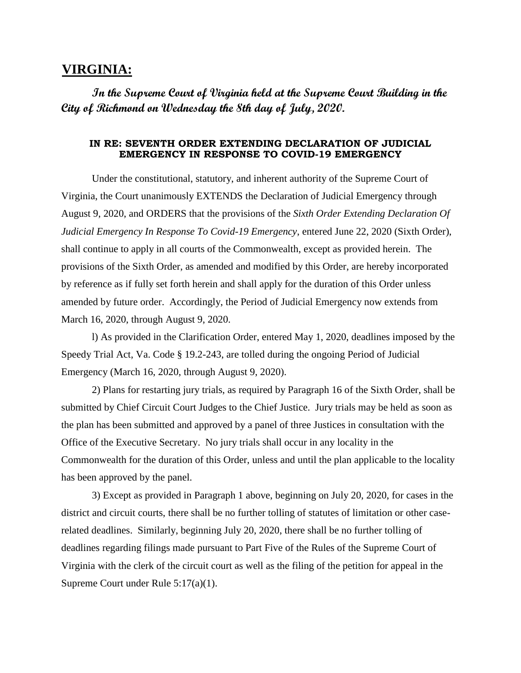## **VIRGINIA:**

**In the Supreme Court of Virginia held at the Supreme Court Building in the City of Richmond on Wednesday the 8th day of July, 2020.**

## **IN RE: SEVENTH ORDER EXTENDING DECLARATION OF JUDICIAL EMERGENCY IN RESPONSE TO COVID-19 EMERGENCY**

Under the constitutional, statutory, and inherent authority of the Supreme Court of Virginia, the Court unanimously EXTENDS the Declaration of Judicial Emergency through August 9, 2020, and ORDERS that the provisions of the *Sixth Order Extending Declaration Of Judicial Emergency In Response To Covid-19 Emergency*, entered June 22, 2020 (Sixth Order), shall continue to apply in all courts of the Commonwealth, except as provided herein. The provisions of the Sixth Order, as amended and modified by this Order, are hereby incorporated by reference as if fully set forth herein and shall apply for the duration of this Order unless amended by future order. Accordingly, the Period of Judicial Emergency now extends from March 16, 2020, through August 9, 2020.

l) As provided in the Clarification Order, entered May 1, 2020, deadlines imposed by the Speedy Trial Act, Va. Code § 19.2-243, are tolled during the ongoing Period of Judicial Emergency (March 16, 2020, through August 9, 2020).

2) Plans for restarting jury trials, as required by Paragraph 16 of the Sixth Order, shall be submitted by Chief Circuit Court Judges to the Chief Justice. Jury trials may be held as soon as the plan has been submitted and approved by a panel of three Justices in consultation with the Office of the Executive Secretary. No jury trials shall occur in any locality in the Commonwealth for the duration of this Order, unless and until the plan applicable to the locality has been approved by the panel.

3) Except as provided in Paragraph 1 above, beginning on July 20, 2020, for cases in the district and circuit courts, there shall be no further tolling of statutes of limitation or other caserelated deadlines. Similarly, beginning July 20, 2020, there shall be no further tolling of deadlines regarding filings made pursuant to Part Five of the Rules of the Supreme Court of Virginia with the clerk of the circuit court as well as the filing of the petition for appeal in the Supreme Court under Rule 5:17(a)(1).